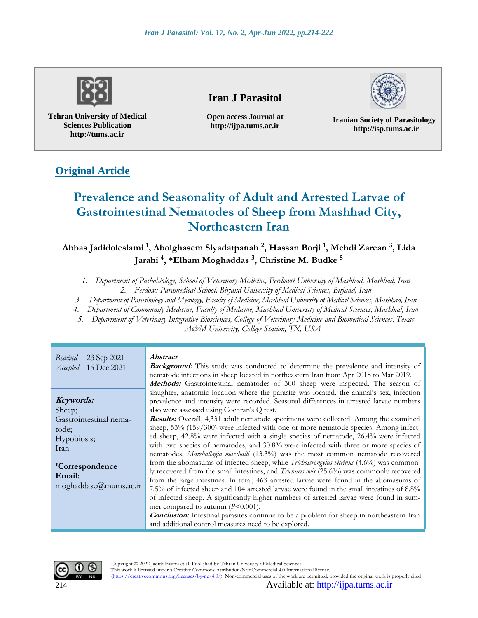

**Tehran University of Medical Sciences Publication http://tums.ac.ir**

## **Iran J Parasitol**

**Open access Journal at http://ijpa.tums.ac.ir**



**Iranian Society of Parasitology http://isp.tums.ac.ir**

# **Original Article**

# **Prevalence and Seasonality of Adult and Arrested Larvae of Gastrointestinal Nematodes of Sheep from Mashhad City, Northeastern Iran**

**Abbas Jadidoleslami <sup>1</sup> , Abolghasem Siyadatpanah <sup>2</sup> , Hassan Borji <sup>1</sup> , Mehdi Zarean <sup>3</sup> , Lida Jarahi <sup>4</sup> , \*Elham Moghaddas <sup>3</sup> , Christine M. Budke <sup>5</sup>**

*1. Department of Pathobiology, School of Veterinary Medicine, Ferdowsi University of Mashhad, Mashhad, Iran 2. Ferdows Paramedical School, Birjand University of Medical Sciences, Birjand, Iran*

*3. Department of Parasitology and Mycology, Faculty of Medicine, Mashhad University of Medical Sciences, Mashhad, Iran*

*4. Department of Community Medicine, Faculty of Medicine, Mashhad University of Medical Sciences, Mashhad, Iran*

*5. Department of Veterinary Integrative Biosciences, College of Veterinary Medicine and Biomedical Sciences, Texas* 

*A&M University, College Station, TX, USA*

| Received<br>23 Sep 2021<br>Accepted 15 Dec 2021                                                                                                                  | <i><b>Abstract</b></i><br><b>Background:</b> This study was conducted to determine the prevalence and intensity of<br>nematode infections in sheep located in northeastern Iran from Apr 2018 to Mar 2019.<br>Methods: Gastrointestinal nematodes of 300 sheep were inspected. The season of                                                                                                                                                                                                                                                                                                                                                                                                                                                                                                                                                                                                                                                                                                                                                                                                                                                                                                                                                                                                                                                                                            |
|------------------------------------------------------------------------------------------------------------------------------------------------------------------|-----------------------------------------------------------------------------------------------------------------------------------------------------------------------------------------------------------------------------------------------------------------------------------------------------------------------------------------------------------------------------------------------------------------------------------------------------------------------------------------------------------------------------------------------------------------------------------------------------------------------------------------------------------------------------------------------------------------------------------------------------------------------------------------------------------------------------------------------------------------------------------------------------------------------------------------------------------------------------------------------------------------------------------------------------------------------------------------------------------------------------------------------------------------------------------------------------------------------------------------------------------------------------------------------------------------------------------------------------------------------------------------|
| Keywords:<br>Sheep;<br>Gastrointestinal nema-<br>tode;<br>Hypobiosis;<br><b>Iran</b><br><i>*Correspondence</i><br>Email:<br>$moghaddase@{\mu} \text{mums.ac.ir}$ | slaughter, anatomic location where the parasite was located, the animal's sex, infection<br>prevalence and intensity were recorded. Seasonal differences in arrested larvae numbers<br>also were assessed using Cochran's Q test.<br><b>Results:</b> Overall, 4,331 adult nematode specimens were collected. Among the examined<br>sheep, 53% (159/300) were infected with one or more nematode species. Among infect-<br>ed sheep, 42.8% were infected with a single species of nematode, 26.4% were infected<br>with two species of nematodes, and 30.8% were infected with three or more species of<br>nematodes. Marshallagia marshalli (13.3%) was the most common nematode recovered<br>from the abomasums of infected sheep, while <i>Trichostrongylus vitrinus</i> (4.6%) was common-<br>ly recovered from the small intestines, and <i>Trichuris ovis</i> (25.6%) was commonly recovered<br>from the large intestines. In total, 463 arrested larvae were found in the abomasums of<br>7.5% of infected sheep and 104 arrested larvae were found in the small intestines of 8.8%<br>of infected sheep. A significantly higher numbers of arrested larvae were found in sum-<br>mer compared to autumn $(P<0.001)$ .<br><b>Conclusion:</b> Intestinal parasites continue to be a problem for sheep in northeastern Iran<br>and additional control measures need to be explored. |



This work is licensed under a Creative Commons Attribution-NonCommercial 4.0 International license. (https://creativecommons.org/licenses/by-nc/4.0/). Non-commercial uses of the work are permitted, provided the original work is properly cited

214 Available at: [http://ijpa.tums.ac.ir](http://ijpa.tums.ac.ir/)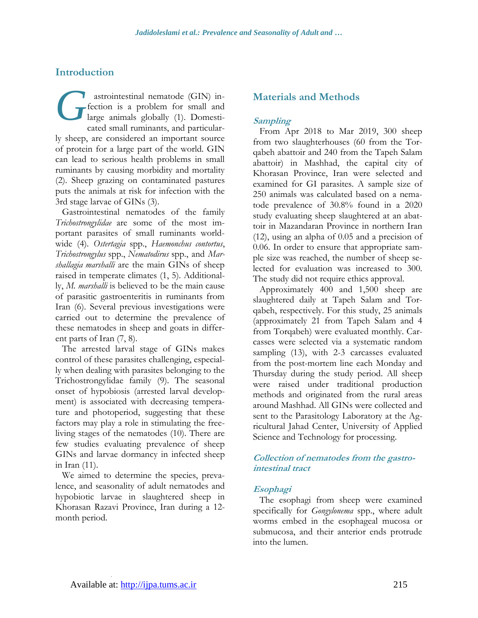### **Introduction**

astrointestinal nematode (GIN) infection is a problem for small and large animals globally (1). Domesticated small ruminants, and particularly sheep, are considered an important source of protein for a large part of the world. GIN can lead to serious health problems in small ruminants by causing morbidity and mortality (2). Sheep grazing on contaminated pastures puts the animals at risk for infection with the 3rd stage larvae of GINs (3). *G*

Gastrointestinal nematodes of the family *Trichostrongylidae* are some of the most important parasites of small ruminants worldwide (4). *Ostertagia* spp., *Haemonchus contortus*, *Trichostrongylus* spp., *Nematodirus* spp., and *Marshallagia marshalli* are the main GINs of sheep raised in temperate climates (1, 5). Additionally, *M. marshalli* is believed to be the main cause of parasitic gastroenteritis in ruminants from Iran (6). Several previous investigations were carried out to determine the prevalence of these nematodes in sheep and goats in different parts of Iran (7, 8).

The arrested larval stage of GINs makes control of these parasites challenging, especially when dealing with parasites belonging to the Trichostrongylidae family (9). The seasonal onset of hypobiosis (arrested larval development) is associated with decreasing temperature and photoperiod, suggesting that these factors may play a role in stimulating the freeliving stages of the nematodes (10). There are few studies evaluating prevalence of sheep GINs and larvae dormancy in infected sheep in Iran (11).

We aimed to determine the species, prevalence, and seasonality of adult nematodes and hypobiotic larvae in slaughtered sheep in Khorasan Razavi Province, Iran during a 12 month period.

### **Materials and Methods**

#### **Sampling**

From Apr 2018 to Mar 2019, 300 sheep from two slaughterhouses (60 from the Torqabeh abattoir and 240 from the Tapeh Salam abattoir) in Mashhad, the capital city of Khorasan Province, Iran were selected and examined for GI parasites. A sample size of 250 animals was calculated based on a nematode prevalence of 30.8% found in a 2020 study evaluating sheep slaughtered at an abattoir in Mazandaran Province in northern Iran (12), using an alpha of 0.05 and a precision of 0.06. In order to ensure that appropriate sample size was reached, the number of sheep selected for evaluation was increased to 300. The study did not require ethics approval.

Approximately 400 and 1,500 sheep are slaughtered daily at Tapeh Salam and Torqabeh, respectively. For this study, 25 animals (approximately 21 from Tapeh Salam and 4 from Torqabeh) were evaluated monthly. Carcasses were selected via a systematic random sampling (13), with 2-3 carcasses evaluated from the post-mortem line each Monday and Thursday during the study period. All sheep were raised under traditional production methods and originated from the rural areas around Mashhad. All GINs were collected and sent to the Parasitology Laboratory at the Agricultural Jahad Center, University of Applied Science and Technology for processing.

#### **Collection of nematodes from the gastrointestinal tract**

#### **Esophagi**

The esophagi from sheep were examined specifically for *Gongylonema* spp., where adult worms embed in the esophageal mucosa or submucosa, and their anterior ends protrude into the lumen.

.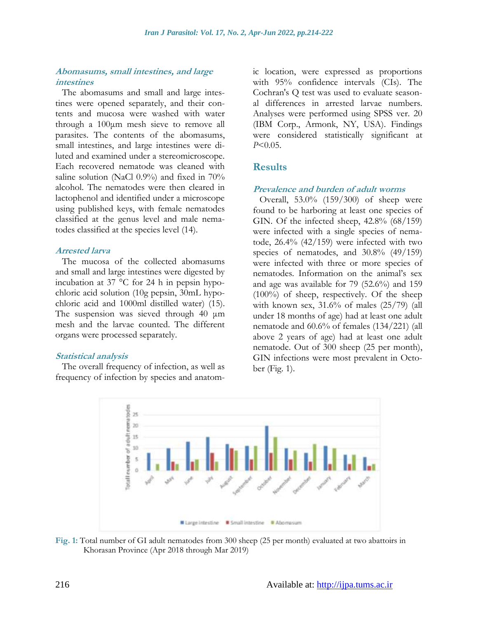#### **Abomasums, small intestines, and large intestines**

The abomasums and small and large intestines were opened separately, and their contents and mucosa were washed with water through a 100μm mesh sieve to remove all parasites. The contents of the abomasums, small intestines, and large intestines were diluted and examined under a stereomicroscope. Each recovered nematode was cleaned with saline solution (NaCl 0.9%) and fixed in 70% alcohol. The nematodes were then cleared in lactophenol and identified under a microscope using published keys, with female nematodes classified at the genus level and male nematodes classified at the species level (14).

#### **Arrested larva**

The mucosa of the collected abomasums and small and large intestines were digested by incubation at 37 °C for 24 h in pepsin hypochloric acid solution (10g pepsin, 30mL hypochloric acid and 1000ml distilled water) (15). The suspension was sieved through 40 μm mesh and the larvae counted. The different organs were processed separately.

#### **Statistical analysis**

The overall frequency of infection, as well as frequency of infection by species and anatomic location, were expressed as proportions with 95% confidence intervals (CIs). The Cochran's Q test was used to evaluate seasonal differences in arrested larvae numbers. Analyses were performed using SPSS ver. 20 (IBM Corp., Armonk, NY, USA). Findings were considered statistically significant at *P*<0.05.

### **Results**

#### **Prevalence and burden of adult worms**

Overall, 53.0% (159/300) of sheep were found to be harboring at least one species of GIN. Of the infected sheep, 42.8% (68/159) were infected with a single species of nematode, 26.4% (42/159) were infected with two species of nematodes, and 30.8% (49/159) were infected with three or more species of nematodes. Information on the animal's sex and age was available for 79 (52.6%) and 159 (100%) of sheep, respectively. Of the sheep with known sex,  $31.6\%$  of males  $(25/79)$  (all under 18 months of age) had at least one adult nematode and 60.6% of females (134/221) (all above 2 years of age) had at least one adult nematode. Out of 300 sheep (25 per month), GIN infections were most prevalent in October (Fig. 1).



**Fig. 1:** Total number of GI adult nematodes from 300 sheep (25 per month) evaluated at two abattoirs in Khorasan Province (Apr 2018 through Mar 2019)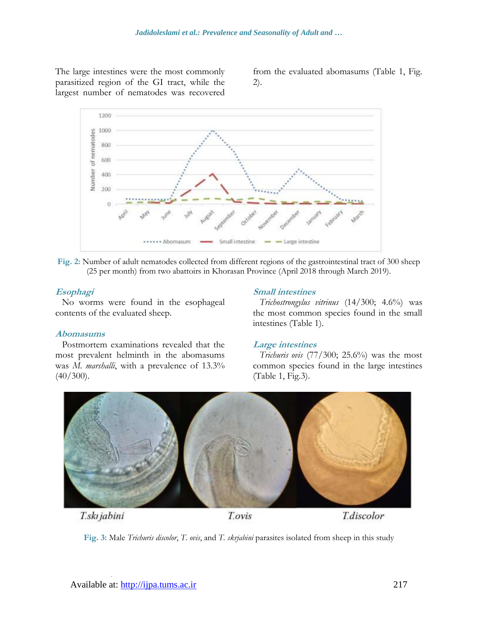The large intestines were the most commonly parasitized region of the GI tract, while the largest number of nematodes was recovered

from the evaluated abomasums (Table 1, Fig. 2).



**Fig. 2:** Number of adult nematodes collected from different regions of the gastrointestinal tract of 300 sheep (25 per month) from two abattoirs in Khorasan Province (April 2018 through March 2019).

#### **Esophagi**

No worms were found in the esophageal contents of the evaluated sheep.

#### **Abomasums**

Postmortem examinations revealed that the most prevalent helminth in the abomasums was *M. marshalli*, with a prevalence of 13.3%  $(40/300)$ .

#### **Small intestines**

*Trichostrongylus vitrinus* (14/300; 4.6%) was the most common species found in the small intestines (Table 1).

#### **Large intestines**

*Trichuris ovis* (77/300; 25.6%) was the most common species found in the large intestines (Table 1, Fig.3).



T.ski jabini

.

T.ovis

**T**.discolor

**Fig. 3:** Male *Trichuris discolor*, *T. ovis*, and *T. skrjabini* parasites isolated from sheep in this study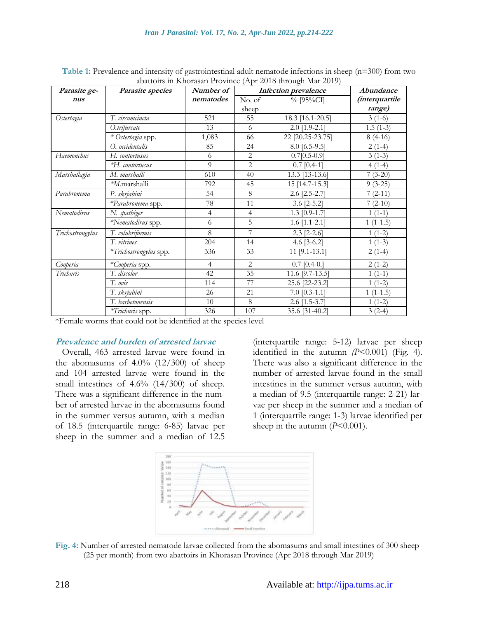| Parasite ge-     | Parasite species       | Number of      | Infection prevalence |                  | Abundance             |
|------------------|------------------------|----------------|----------------------|------------------|-----------------------|
| nus              |                        | nematodes      | No. of               | $\%$ [95%CI]     | <i>(interquartile</i> |
|                  |                        |                | sheep                |                  | range)                |
| Ostertagia       | T. circumcincta        | 521            | 55                   | 18.3 [16.1-20.5] | $3(1-6)$              |
|                  | O.trifurcate           | 13             | 6                    | $2.0$ [1.9-2.1]  | $1.5(1-3)$            |
|                  | * Ostertagia spp.      | 1,083          | 66                   | 22 [20.25-23.75] | $8(4-16)$             |
|                  | O. occidentalis        | 85             | 24                   | $8.0$ [6.5-9.5]  | $2(1-4)$              |
| Haemonchus       | H. contortusus         | 6              | 2                    | $0.7[0.5-0.9]$   | $3(1-3)$              |
|                  | *H. contortusus        | 9              | $\overline{2}$       | $0.7$ [0.4-1]    | $4(1-4)$              |
| Marshallagia     | M. marshalli           | 610            | 40                   | 13.3 [13-13.6]   | $7(3-20)$             |
|                  | *M.marshalli           | 792            | 45                   | 15 [14.7-15.3]   | $9(3-25)$             |
| Parabronema      | P. skrjabini           | 54             | 8                    | $2.6$ [2.5-2.7]  | $7(2-11)$             |
|                  | *Parabronema spp.      | 78             | 11                   | $3.6$ [2-5.2]    | $7(2-10)$             |
| Nematodirus      | N. spathiger           | $\overline{4}$ | $\overline{4}$       | $1.3$ [0.9-1.7]  | $1(1-1)$              |
|                  | *Nematodirus spp.      | 6              | 5                    | $1.6$ [1.1-2.1]  | $1(1-1.5)$            |
| Trichostrongylus | T. colubriformis       | 8              | 7                    | $2.3$ [2-2.6]    | $1(1-2)$              |
|                  | T. vitrines            | 204            | 14                   | 4.6 $[3-6.2]$    | $1(1-3)$              |
|                  | *Trichostrongylus spp. | 336            | 33                   | $11$ [9.1-13.1]  | $2(1-4)$              |
| Cooperia         | *Cooperia spp.         | $\overline{4}$ | $\overline{2}$       | $0.7$ [0.4-0.]   | $2(1-2)$              |
| Trichuris        | T. discolor            | 42             | 35                   | 11.6 [9.7-13.5]  | $1(1-1)$              |
|                  | T. ovis                | 114            | 77                   | 25.6 [22-23.2]   | $1(1-2)$              |
|                  | T. skrjabini           | 26             | 21                   | $7.0$ [0.3-1.1]  | $1(1-1.5)$            |
|                  | T. barbetonensis       | 10             | 8                    | $2.6$ [1.5-3.7]  | $1(1-2)$              |
|                  | *Trichuris spp.        | 326            | 107                  | 35.6 [31-40.2]   | $3(2-4)$              |

**Table 1:** Prevalence and intensity of gastrointestinal adult nematode infections in sheep (n=300) from two abattoirs in Khorasan Province (Apr 2018 through Mar 2019)

\*Female worms that could not be identified at the species level

#### **Prevalence and burden of arrested larvae**

Overall, 463 arrested larvae were found in the abomasums of  $4.0\%$  (12/300) of sheep and 104 arrested larvae were found in the small intestines of 4.6% (14/300) of sheep. There was a significant difference in the number of arrested larvae in the abomasums found in the summer versus autumn, with a median of 18.5 (interquartile range: 6-85) larvae per sheep in the summer and a median of 12.5

(interquartile range: 5-12) larvae per sheep identified in the autumn *(P*<0.001) (Fig. 4). There was also a significant difference in the number of arrested larvae found in the small intestines in the summer versus autumn, with a median of 9.5 (interquartile range: 2-21) larvae per sheep in the summer and a median of 1 (interquartile range: 1-3) larvae identified per sheep in the autumn (*P*<0.001).



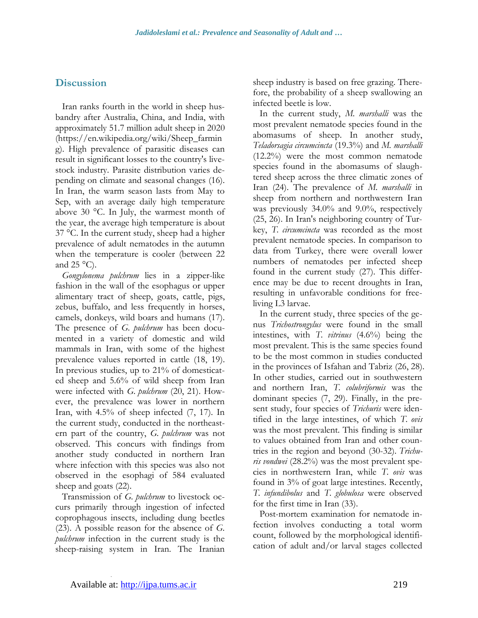### **Discussion**

Iran ranks fourth in the world in sheep husbandry after Australia, China, and India, with approximately 51.7 million adult sheep in 2020 [\(https://en.wikipedia.org/wiki/Sheep\\_farmin](https://en.wikipedia.org/wiki/Sheep_farming) [g\)](https://en.wikipedia.org/wiki/Sheep_farming). High prevalence of parasitic diseases can result in significant losses to the country's livestock industry. Parasite distribution varies depending on climate and seasonal changes (16). In Iran, the warm season lasts from May to Sep, with an average daily high temperature above 30 °C. In July, the warmest month of the year, the average high temperature is about 37 °C. In the current study, sheep had a higher prevalence of adult nematodes in the autumn when the temperature is cooler (between 22 and  $25^{\circ}$ C).

*Gongylonema pulchrum* lies in a zipper-like fashion in the wall of the esophagus or upper alimentary tract of sheep, goats, cattle, pigs, zebus, buffalo, and less frequently in horses, camels, donkeys, wild boars and humans (17). The presence of *G. pulchrum* has been documented in a variety of domestic and wild mammals in Iran, with some of the highest prevalence values reported in cattle (18, 19). In previous studies, up to 21% of domesticated sheep and 5.6% of wild sheep from Iran were infected with *G. pulchrum* (20, 21). However, the prevalence was lower in northern Iran, with 4.5% of sheep infected (7, 17). In the current study, conducted in the northeastern part of the country, *G. pulchrum* was not observed. This concurs with findings from another study conducted in northern Iran where infection with this species was also not observed in the esophagi of 584 evaluated sheep and goats (22).

Transmission of *G. pulchrum* to livestock occurs primarily through ingestion of infected coprophagous insects, including dung beetles (23). A possible reason for the absence of *G. pulchrum* infection in the current study is the sheep-raising system in Iran. The Iranian

sheep industry is based on free grazing. Therefore, the probability of a sheep swallowing an infected beetle is low.

In the current study, *M. marshalli* was the most prevalent nematode species found in the abomasums of sheep. In another study, *Teladorsagia circumcincta* (19.3%) and *M. marshalli* (12.2%) were the most common nematode species found in the abomasums of slaughtered sheep across the three climatic zones of Iran (24). The prevalence of *M. marshalli* in sheep from northern and northwestern Iran was previously 34.0% and 9.0%, respectively (25, 26). In Iran's neighboring country of Turkey, *T. circumcincta* was recorded as the most prevalent nematode species. In comparison to data from Turkey, there were overall lower numbers of nematodes per infected sheep found in the current study (27). This difference may be due to recent droughts in Iran, resulting in unfavorable conditions for freeliving L3 larvae.

In the current study, three species of the genus *Trichostrongylus* were found in the small intestines, with *T. vitrinus* (4.6%) being the most prevalent. This is the same species found to be the most common in studies conducted in the provinces of Isfahan and Tabriz (26, 28). In other studies, carried out in southwestern and northern Iran, *T. colubriformis* was the dominant species (7, 29). Finally, in the present study, four species of *Trichuris* were identified in the large intestines, of which *T. ovis* was the most prevalent. This finding is similar to values obtained from Iran and other countries in the region and beyond (30-32). *Trichuris vondwei* (28.2%) was the most prevalent species in northwestern Iran, while *T. ovis* was found in 3% of goat large intestines. Recently, *T. infundibolus* and *T. globulosa* were observed for the first time in Iran (33).

Post-mortem examination for nematode infection involves conducting a total worm count, followed by the morphological identification of adult and/or larval stages collected

.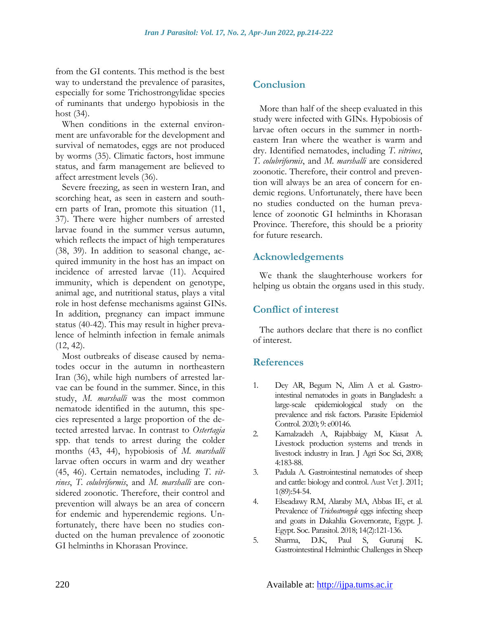from the GI contents. This method is the best way to understand the prevalence of parasites, especially for some Trichostrongylidae species of ruminants that undergo hypobiosis in the host (34).

When conditions in the external environment are unfavorable for the development and survival of nematodes, eggs are not produced by worms (35). Climatic factors, host immune status, and farm management are believed to affect arrestment levels (36).

Severe freezing, as seen in western Iran, and scorching heat, as seen in eastern and southern parts of Iran, promote this situation (11, 37). There were higher numbers of arrested larvae found in the summer versus autumn, which reflects the impact of high temperatures (38, 39). In addition to seasonal change, acquired immunity in the host has an impact on incidence of arrested larvae (11). Acquired immunity, which is dependent on genotype, animal age, and nutritional status, plays a vital role in host defense mechanisms against GINs. In addition, pregnancy can impact immune status (40-42). This may result in higher prevalence of helminth infection in female animals (12, 42).

Most outbreaks of disease caused by nematodes occur in the autumn in northeastern Iran (36), while high numbers of arrested larvae can be found in the summer. Since, in this study, *M. marshalli* was the most common nematode identified in the autumn, this species represented a large proportion of the detected arrested larvae. In contrast to *Ostertagia* spp. that tends to arrest during the colder months (43, 44), hypobiosis of *M. marshalli* larvae often occurs in warm and dry weather (45, 46). Certain nematodes, including *T. vitrines*, *T. colubriformis*, and *M. marshalli* are considered zoonotic. Therefore, their control and prevention will always be an area of concern for endemic and hyperendemic regions. Unfortunately, there have been no studies conducted on the human prevalence of zoonotic GI helminths in Khorasan Province.

### **Conclusion**

More than half of the sheep evaluated in this study were infected with GINs. Hypobiosis of larvae often occurs in the summer in northeastern Iran where the weather is warm and dry. Identified nematodes, including *T. vitrines*, *T. colubriformis*, and *M. marshalli* are considered zoonotic. Therefore, their control and prevention will always be an area of concern for endemic regions. Unfortunately, there have been no studies conducted on the human prevalence of zoonotic GI helminths in Khorasan Province. Therefore, this should be a priority for future research.

### **Acknowledgements**

We thank the slaughterhouse workers for helping us obtain the organs used in this study.

### **Conflict of interest**

The authors declare that there is no conflict of interest.

### **References**

- 1. Dey AR, Begum N, Alim A et al. Gastrointestinal nematodes in goats in Bangladesh: a large-scale epidemiological study on the prevalence and risk factors. Parasite Epidemiol Control. 2020; 9: e00146.
- 2. Kamalzadeh A, Rajabbaigy M, Kiasat A. Livestock production systems and trends in livestock industry in Iran. J Agri Soc Sci, 2008; 4:183-88.
- 3. Padula A. Gastrointestinal nematodes of sheep and cattle: biology and control. Aust Vet J. 2011; 1(89):54-54.
- 4. Elseadawy R.M, Alaraby MA, Abbas IE, et al. Prevalence of *Trichostrongyle* eggs infecting sheep and goats in Dakahlia Governorate, Egypt. J. Egypt. Soc. Parasitol. 2018; 14(2):121-136.
- 5. Sharma, D.K, Paul S, Gururaj K. Gastrointestinal Helminthic Challenges in Sheep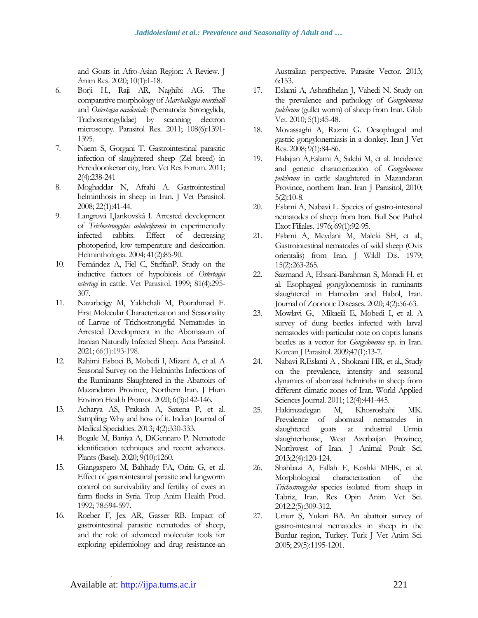and Goats in Afro-Asian Region: A Review. J Anim Res. 2020; 10(1):1-18.

- 6. Borji H., Raji AR, Naghibi AG. The comparative morphology of *Marshallagia marshalli* and *Ostertagia occidentalis* (Nematoda: Strongylida, Trichostrongylidae) by scanning electron microscopy. Parasitol Res. 2011; 108(6):1391- 1395.
- 7. Naem S, Gorgani T. Gastrointestinal parasitic infection of slaughtered sheep (Zel breed) in Fereidoonkenar city, Iran. Vet Res Forum. 2011; 2(4):238-241
- 8. Moghaddar N, Afrahi A. Gastrointestinal helminthosis in sheep in Iran. J Vet Parasitol. 2008; 22(1):41-44.
- 9. Langrová I,Jankovská I. Arrested development of *Trichostrongylus colubriformis* in experimentally infected rabbits. Effect of decreasing photoperiod, low temperature and desiccation. Helminthologia. 2004; 41(2):85-90.
- 10. Fernández A, Fiel C, SteffanP. Study on the inductive factors of hypobiosis of *Ostertagia ostertagi* in cattle. Vet Parasitol. 1999; 81(4):295- 307.
- 11. Nazarbeigy M, Yakhchali M, Pourahmad F. First Molecular Characterization and Seasonality of Larvae of Trichostrongylid Nematodes in Arrested Development in the Abomasum of Iranian Naturally Infected Sheep. Acta Parasitol. 2021; 66(1):193-198.
- 12. Rahimi Esboei B, Mobedi I, Mizani A, et al. A Seasonal Survey on the Helminths Infections of the Ruminants Slaughtered in the Abattoirs of Mazandaran Province, Northern Iran. J Hum Environ Health Promot. 2020; 6(3):142-146.
- 13. Acharya AS, Prakash A, Saxena P, et al. Sampling: Why and how of it. Indian Journal of Medical Specialties. 2013; 4(2):330-333.
- 14. Bogale M, Baniya A, DiGennaro P. Nematode identification techniques and recent advances. Plants (Basel). 2020; 9(10):1260.
- 15. Giangaspero M, Bahhady FA, Orita G, et al. Effect of gastrointestinal parasite and lungworm control on survivability and fertility of ewes in farm flocks in Syria. Trop Anim Health Prod. 1992; 78:594-597.
- 16. Roeber F, Jex AR, Gasser RB. Impact of gastrointestinal parasitic nematodes of sheep, and the role of advanced molecular tools for exploring epidemiology and drug resistance-an

Australian perspective. Parasite Vector. 2013; 6:153.

- 17. Eslami A, Ashrafihelan J, Vahedi N. Study on the prevalence and pathology of *Gongylonema pulchrum* (gullet worm) of sheep from Iran. Glob Vet. 2010; 5(1):45-48.
- 18. Movassaghi A, Razmi G. Oesophageal and gastric gongylonemiasis in a donkey. Iran J Vet Res. 2008; 9(1):84-86.
- 19. Halajian A,Eslami A, Salehi M, et al. Incidence and genetic characterization of *Gongylonema pulchrum* in cattle slaughtered in Mazandaran Province, northern Iran. Iran J Parasitol, 2010; 5(2):10-8.
- 20. Eslami A, Nabavi L. Species of gastro-intestinal nematodes of sheep from Iran. Bull Soc Pathol Exot Filiales. 1976; 69(1):92-95.
- 21. Eslami A, Meydani M, Maleki SH, et al., Gastrointestinal nematodes of wild sheep (Ovis orientalis) from Iran. J Wildl Dis. 1979; 15(2):263-265.
- 22. Sazmand A, Ehsani-Barahman S, Moradi H, et al. Esophageal gongylonemosis in ruminants slaughtered in Hamedan and Babol, Iran. Journal of Zoonotic Diseases. 2020; 4(2):56-63.
- 23. Mowlavi G, [Mikaeili](https://www.ncbi.nlm.nih.gov/pubmed/?term=Mikaeili%20E%5BAuthor%5D&cauthor=true&cauthor_uid=19290086) E, Mobedi I, et al. A survey of dung beetles infected with larval nematodes with particular note on copris lunaris beetles as a vector for *Gongylonema* sp. in Iran. Korean J Parasitol. 2009;47(1):13-7.
- 24. Nabavi R,Eslami A , Shokrani HR, et al., Study on the prevalence, intensity and seasonal dynamics of abomasal helminths in sheep from different climatic zones of Iran. World Applied Sciences Journal. 2011; 12(4):441-445.
- 25. Hakimzadegan M, Khosroshahi MK. Prevalence of abomasal nematodes in slaughtered goats at industrial Urmia slaughterhouse, West Azerbaijan Province, Northwest of Iran. J Animal Poult Sci. 2013;2(4):120-124.
- 26. Shahbazi A, Fallah E, Koshki MHK, et al. Morphological characterization of the *Trichostrongylus* species isolated from sheep in Tabriz, Iran. Res Opin Anim Vet Sci. 2012;2(5):309-312.
- 27. Umur Ş, Yukari BA. An abattoir survey of gastro-intestinal nematodes in sheep in the Burdur region, Turkey. Turk J Vet Anim Sci. 2005; 29(5):1195-1201.

.